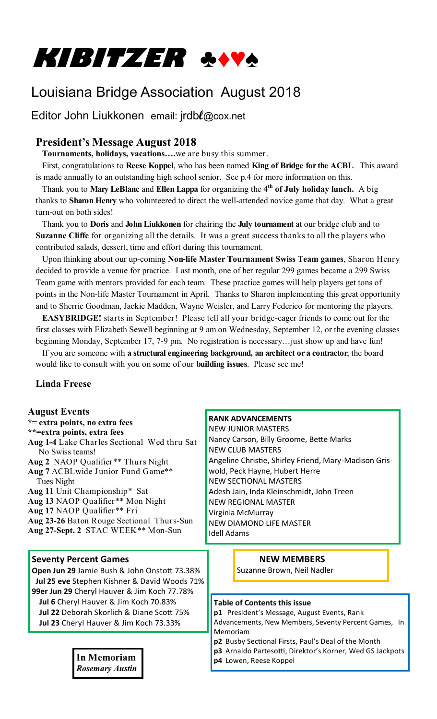

# Louisiana Bridge Association August 2018

Editor John Liukkonen email: jrdb**l**@cox.net

# **President's Message August 2018**

**Tournaments, holidays, vacations….**we are busy this summer.

 First, congratulations to **Reese Koppel**, who has been named **King of Bridge for the ACBL**. This award is made annually to an outstanding high school senior. See p.4 for more information on this.

 Thank you to **Mary LeBlanc** and **Ellen Lappa** for organizing the **4 th of July holiday lunch.** A big thanks to **Sharon Henry** who volunteered to direct the well-attended novice game that day. What a great turn-out on both sides!

 Thank you to **Doris** and **John Liukkonen** for chairing the **July tournament** at our bridge club and to **Suzanne Cliffe** for organizing all the details. It was a great success thanks to all the players who contributed salads, dessert, time and effort during this tournament.

 Upon thinking about our up-coming **Non-life Master Tournament Swiss Team games**, Sharon Henry decided to provide a venue for practice. Last month, one of her regular 299 games became a 299 Swiss Team game with mentors provided for each team. These practice games will help players get tons of points in the Non-life Master Tournament in April. Thanks to Sharon implementing this great opportunity and to Sherrie Goodman, Jackie Madden, Wayne Weisler, and Larry Federico for mentoring the players.

 **EASYBRIDGE!** starts in September! Please tell all your bridge-eager friends to come out for the first classes with Elizabeth Sewell beginning at 9 am on Wednesday, September 12, or the evening classes beginning Monday, September 17, 7-9 pm. No registration is necessary…just show up and have fun!

 If you are someone with **a structural engineering background, an architect or a contractor**, the board would like to consult with you on some of our **building issues**. Please see me!

## **Linda Freese**

| <b>August Events</b><br>*= extra points, no extra fees<br>**= extra points, extra fees<br>Aug 1-4 Lake Charles Sectional Wed thru Sat<br>No Swiss teams!<br>Aug 2 NAOP Qualifier** Thurs Night<br>Aug 7 ACBL wide Junior Fund Game**<br>Tues Night<br>Aug 11 Unit Championship* Sat<br>Aug 13 NAOP Qualifier** Mon Night<br>Aug 17 NAOP Qualifier** Fri<br>Aug 23-26 Baton Rouge Sectional Thurs-Sun<br>Aug 27-Sept. 2 STAC WEEK** Mon-Sun | <b>RANK ADVANCEMENTS</b><br><b>NEW JUNIOR MASTERS</b><br>Nancy Carson, Billy Groome, Bette Marks<br><b>NEW CLUB MASTERS</b><br>Angeline Christie, Shirley Friend, Mary-Madison Gris-<br>wold, Peck Hayne, Hubert Herre<br><b>NEW SECTIONAL MASTERS</b><br>Adesh Jain, Inda Kleinschmidt, John Treen<br><b>NEW REGIONAL MASTER</b><br>Virginia McMurray<br><b>NEW DIAMOND LIFE MASTER</b><br><b>Idell Adams</b> |  |
|--------------------------------------------------------------------------------------------------------------------------------------------------------------------------------------------------------------------------------------------------------------------------------------------------------------------------------------------------------------------------------------------------------------------------------------------|----------------------------------------------------------------------------------------------------------------------------------------------------------------------------------------------------------------------------------------------------------------------------------------------------------------------------------------------------------------------------------------------------------------|--|
| <b>Seventy Percent Games</b><br>Open Jun 29 Jamie Bush & John Onstott 73.38%<br>Jul 25 eve Stephen Kishner & David Woods 71%                                                                                                                                                                                                                                                                                                               | <b>NEW MEMBERS</b><br>Suzanne Brown, Neil Nadler                                                                                                                                                                                                                                                                                                                                                               |  |
| 99er Jun 29 Cheryl Hauver & Jim Koch 77.78%<br>Jul 6 Cheryl Hauver & Jim Koch 70.83%<br>Jul 22 Deborah Skorlich & Diane Scott 75%<br>Jul 23 Cheryl Hauver & Jim Koch 73.33%<br><b>In Memoriam</b><br><b>Rosemary Austin</b>                                                                                                                                                                                                                | <b>Table of Contents this issue</b><br>p1 President's Message, August Events, Rank<br>Advancements, New Members, Seventy Percent Games, In<br>Memoriam<br>p2 Busby Sectional Firsts, Paul's Deal of the Month<br>p3 Arnaldo Partesotti, Direktor's Korner, Wed GS Jackpots<br>p4 Lowen, Reese Koppel                                                                                                           |  |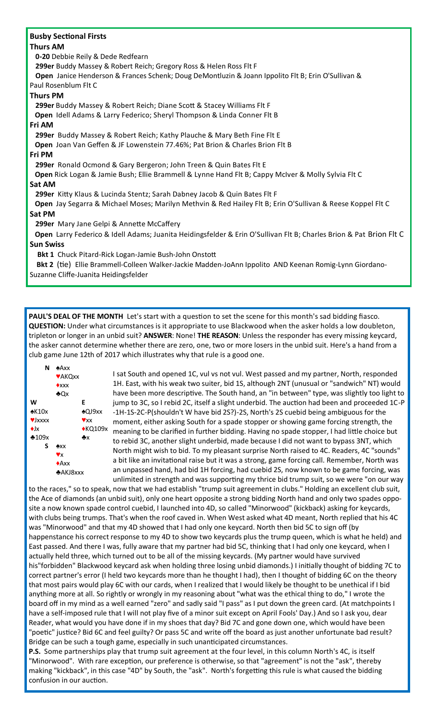#### **Busby Sectional Firsts**

#### **Thurs AM**

**0-20** Debbie Reily & Dede Redfearn

**299er** Buddy Massey & Robert Reich; Gregory Ross & Helen Ross Flt F

 **Open** Janice Henderson & Frances Schenk; Doug DeMontluzin & Joann Ippolito Flt B; Erin O'Sullivan & Paul Rosenblum Flt C

#### **Thurs PM**

**299er** Buddy Massey & Robert Reich; Diane Scott & Stacey Williams Flt F

**Open** Idell Adams & Larry Federico; Sheryl Thompson & Linda Conner Flt B

**Fri AM** 

**299er** Buddy Massey & Robert Reich; Kathy Plauche & Mary Beth Fine Flt E

**Open** Joan Van Geffen & JF Lowenstein 77.46%; Pat Brion & Charles Brion Flt B

#### **Fri PM**

**299er** Ronald Ocmond & Gary Bergeron; John Treen & Quin Bates Flt E

**Open** Rick Logan & Jamie Bush; Ellie Brammell & Lynne Hand Flt B; Cappy McIver & Molly Sylvia Flt C

#### **Sat AM**

**299er** Kitty Klaus & Lucinda Stentz; Sarah Dabney Jacob & Quin Bates Flt F

 **Open** Jay Segarra & Michael Moses; Marilyn Methvin & Red Hailey Flt B; Erin O'Sullivan & Reese Koppel Flt C **Sat PM**

**299er** Mary Jane Gelpi & Annette McCaffery

 **Open** Larry Federico & Idell Adams; Juanita Heidingsfelder & Erin O'Sullivan Flt B; Charles Brion & Pat Brion Flt C **Sun Swiss** 

**Bkt 1** Chuck Pitard-Rick Logan-Jamie Bush-John Onstott

 **Bkt 2** (tie) Ellie Brammell-Colleen Walker-Jackie Madden-JoAnn Ippolito AND Keenan Romig-Lynn Giordano-Suzanne Cliffe-Juanita Heidingsfelder

**PAUL'S DEAL OF THE MONTH** Let's start with a question to set the scene for this month's sad bidding fiasco. **QUESTION:** Under what circumstances is it appropriate to use Blackwood when the asker holds a low doubleton, tripleton or longer in an unbid suit? **ANSWER**: None! **THE REASON**: Unless the responder has every missing keycard, the asker cannot determine whether there are zero, one, two or more losers in the unbid suit. Here's a hand from a club game June 12th of 2017 which illustrates why that rule is a good one.

| N                                                  | $A$ Axx         |                  |
|----------------------------------------------------|-----------------|------------------|
|                                                    | <b>VAKOXX</b>   |                  |
|                                                    | $\triangle$ xxx |                  |
|                                                    | ♣Qx             |                  |
| W                                                  |                 | E                |
| $*K10x$                                            |                 | $*$ QJ $9$ xx    |
| $\blacktriangledown$ <b>J</b> $\chi$ $\chi$ $\chi$ |                 | $\mathbf{v}$ x x |
| $\triangle$ lx                                     |                 | $*$ KQ109x       |
| $*109x$                                            |                 | ٠х               |
| S                                                  | $*xx$           |                  |
|                                                    | Vx              |                  |
|                                                    | $*Axx$          |                  |
|                                                    | $A KJ8$ xxx     |                  |

I sat South and opened 1C, vul vs not vul. West passed and my partner, North, responded 1H. East, with his weak two suiter, bid 1S, although 2NT (unusual or "sandwich" NT) would have been more descriptive. The South hand, an "in between" type, was slightly too light to jump to 3C, so I rebid 2C, itself a slight underbid. The auction had been and proceeded 1C-P -1H-1S-2C-P(shouldn't W have bid 2S?)-2S, North's 2S cuebid being ambiguous for the moment, either asking South for a spade stopper or showing game forcing strength, the  $x$  meaning to be clarified in further bidding. Having no spade stopper, I had little choice but to rebid 3C, another slight underbid, made because I did not want to bypass 3NT, which North might wish to bid. To my pleasant surprise North raised to 4C. Readers, 4C "sounds" a bit like an invitational raise but it was a strong, game forcing call. Remember, North was an unpassed hand, had bid 1H forcing, had cuebid 2S, now known to be game forcing, was unlimited in strength and was supporting my thrice bid trump suit, so we were "on our way

to the races," so to speak, now that we had establish "trump suit agreement in clubs." Holding an excellent club suit, the Ace of diamonds (an unbid suit), only one heart opposite a strong bidding North hand and only two spades opposite a now known spade control cuebid, I launched into 4D, so called "Minorwood" (kickback) asking for keycards, with clubs being trumps. That's when the roof caved in. When West asked what 4D meant, North replied that his 4C was "Minorwood" and that my 4D showed that I had only one keycard. North then bid 5C to sign off (by happenstance his correct response to my 4D to show two keycards plus the trump queen, which is what he held) and East passed. And there I was, fully aware that my partner had bid 5C, thinking that I had only one keycard, when I actually held three, which turned out to be all of the missing keycards. (My partner would have survived his"forbidden" Blackwood keycard ask when holding three losing unbid diamonds.) I initially thought of bidding 7C to correct partner's error (I held two keycards more than he thought I had), then I thought of bidding 6C on the theory that most pairs would play 6C with our cards, when I realized that I would likely be thought to be unethical if I bid anything more at all. So rightly or wrongly in my reasoning about "what was the ethical thing to do," I wrote the board off in my mind as a well earned "zero" and sadly said "I pass" as I put down the green card. (At matchpoints I have a self-imposed rule that I will not play five of a minor suit except on April Fools' Day.) And so I ask you, dear Reader, what would you have done if in my shoes that day? Bid 7C and gone down one, which would have been "poetic" justice? Bid 6C and feel guilty? Or pass 5C and write off the board as just another unfortunate bad result? Bridge can be such a tough game, especially in such unanticipated circumstances.

**P.S.** Some partnerships play that trump suit agreement at the four level, in this column North's 4C, is itself "Minorwood". With rare exception, our preference is otherwise, so that "agreement" is not the "ask", thereby making "kickback", in this case "4D" by South, the "ask". North's forgetting this rule is what caused the bidding confusion in our auction.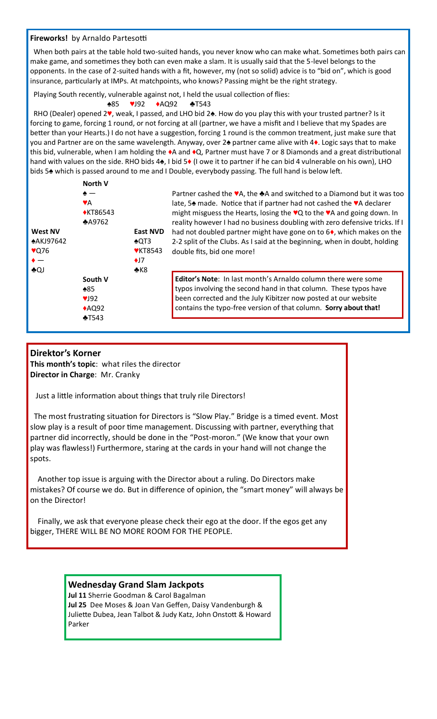#### **Fireworks!** by Arnaldo Partesotti

 When both pairs at the table hold two-suited hands, you never know who can make what. Sometimes both pairs can make game, and sometimes they both can even make a slam. It is usually said that the 5-level belongs to the opponents. In the case of 2-suited hands with a fit, however, my (not so solid) advice is to "bid on", which is good insurance, particularly at IMPs. At matchpoints, who knows? Passing might be the right strategy.

Playing South recently, vulnerable against not, I held the usual collection of flies:

#### ♠85 ♥J92 ♦AQ92 ♣T543

 RHO (Dealer) opened 2♥, weak, I passed, and LHO bid 2♠. How do you play this with your trusted partner? Is it forcing to game, forcing 1 round, or not forcing at all (partner, we have a misfit and I believe that my Spades are better than your Hearts.) I do not have a suggestion, forcing 1 round is the common treatment, just make sure that you and Partner are on the same wavelength. Anyway, over 2♠ partner came alive with 4♦. Logic says that to make this bid, vulnerable, when I am holding the ♦A and ♦Q, Partner must have 7 or 8 Diamonds and a great distributional hand with values on the side. RHO bids 4♠, I bid 5♦ (I owe it to partner if he can bid 4 vulnerable on his own), LHO bids 5♠ which is passed around to me and I Double, everybody passing. The full hand is below left.

|                | North V         |                 |
|----------------|-----------------|-----------------|
|                | $\bullet-$      |                 |
|                | VA              |                 |
|                | <b>◆KT86543</b> |                 |
|                | $*$ A9762       |                 |
| <b>West NV</b> |                 | <b>East NVD</b> |
| *AKJ97642      |                 | $*$ QT3         |
| $\sqrt{276}$   |                 | <b>♥KT8543</b>  |
|                |                 | $\bigstar$      |
| ♣QJ            |                 | $*K8$           |
|                | South V         |                 |
|                | $*85$           |                 |
|                | V192            |                 |
|                | AQQ92           |                 |
|                | $\ast$ T543     |                 |

Partner cashed the ♥A, the ♣A and switched to a Diamond but it was too late, 5♠ made. Notice that if partner had not cashed the ♥A declarer might misguess the Hearts, losing the ♥Q to the ♥A and going down. In reality however I had no business doubling with zero defensive tricks. If I had not doubled partner might have gone on to 6♦, which makes on the 2-2 split of the Clubs. As I said at the beginning, when in doubt, holding double fits, bid one more!

**Editor's Note**: In last month's Arnaldo column there were some typos involving the second hand in that column. These typos have been corrected and the July Kibitzer now posted at our website contains the typo-free version of that column. **Sorry about that!**

#### **Direktor's Korner**

**This month's topic**: what riles the director **Director in Charge**: Mr. Cranky

Just a little information about things that truly rile Directors!

 The most frustrating situation for Directors is "Slow Play." Bridge is a timed event. Most slow play is a result of poor time management. Discussing with partner, everything that partner did incorrectly, should be done in the "Post-moron." (We know that your own play was flawless!) Furthermore, staring at the cards in your hand will not change the spots.

 Another top issue is arguing with the Director about a ruling. Do Directors make mistakes? Of course we do. But in difference of opinion, the "smart money" will always be on the Director!

 Finally, we ask that everyone please check their ego at the door. If the egos get any bigger, THERE WILL BE NO MORE ROOM FOR THE PEOPLE.

### **Wednesday Grand Slam Jackpots**

**Jul 11** Sherrie Goodman & Carol Bagalman **Jul 25** Dee Moses & Joan Van Geffen, Daisy Vandenburgh & Juliette Dubea, Jean Talbot & Judy Katz, John Onstott & Howard Parker